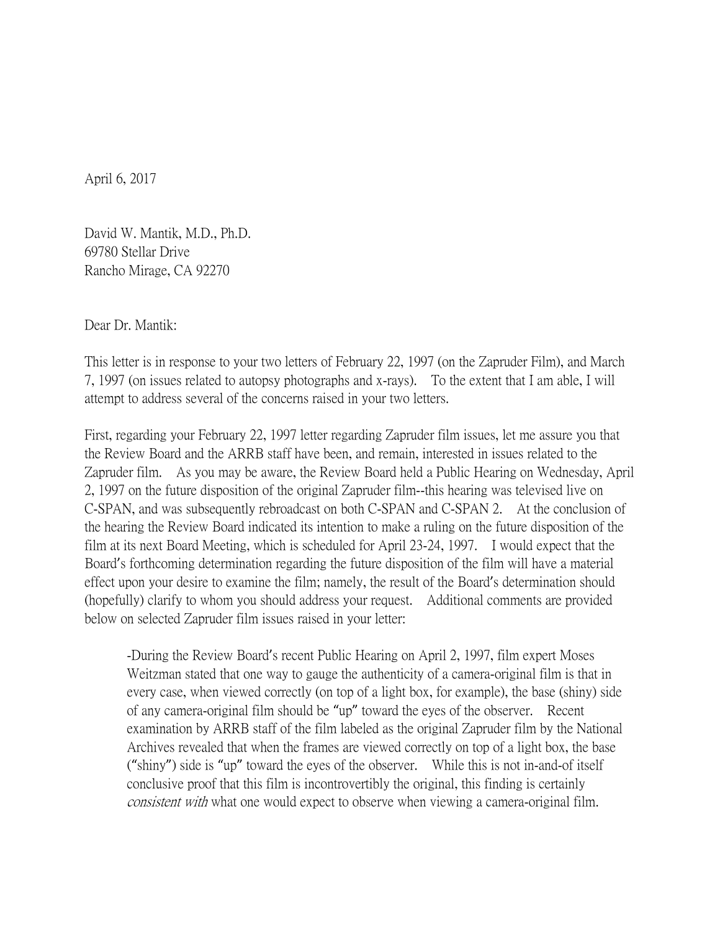April 6, 2017

David W. Mantik, M.D., Ph.D. 69780 Stellar Drive Rancho Mirage, CA 92270

Dear Dr. Mantik:

This letter is in response to your two letters of February 22, 1997 (on the Zapruder Film), and March 7, 1997 (on issues related to autopsy photographs and x-rays). To the extent that I am able, I will attempt to address several of the concerns raised in your two letters.

First, regarding your February 22, 1997 letter regarding Zapruder film issues, let me assure you that the Review Board and the ARRB staff have been, and remain, interested in issues related to the Zapruder film. As you may be aware, the Review Board held a Public Hearing on Wednesday, April 2, 1997 on the future disposition of the original Zapruder film--this hearing was televised live on C-SPAN, and was subsequently rebroadcast on both C-SPAN and C-SPAN 2. At the conclusion of the hearing the Review Board indicated its intention to make a ruling on the future disposition of the film at its next Board Meeting, which is scheduled for April 23-24, 1997. I would expect that the Board's forthcoming determination regarding the future disposition of the film will have a material effect upon your desire to examine the film; namely, the result of the Board's determination should (hopefully) clarify to whom you should address your request. Additional comments are provided below on selected Zapruder film issues raised in your letter:

-During the Review Board's recent Public Hearing on April 2, 1997, film expert Moses Weitzman stated that one way to gauge the authenticity of a camera-original film is that in every case, when viewed correctly (on top of a light box, for example), the base (shiny) side of any camera-original film should be "up" toward the eyes of the observer. Recent examination by ARRB staff of the film labeled as the original Zapruder film by the National Archives revealed that when the frames are viewed correctly on top of a light box, the base ("shiny") side is "up" toward the eyes of the observer. While this is not in-and-of itself conclusive proof that this film is incontrovertibly the original, this finding is certainly consistent with what one would expect to observe when viewing a camera-original film.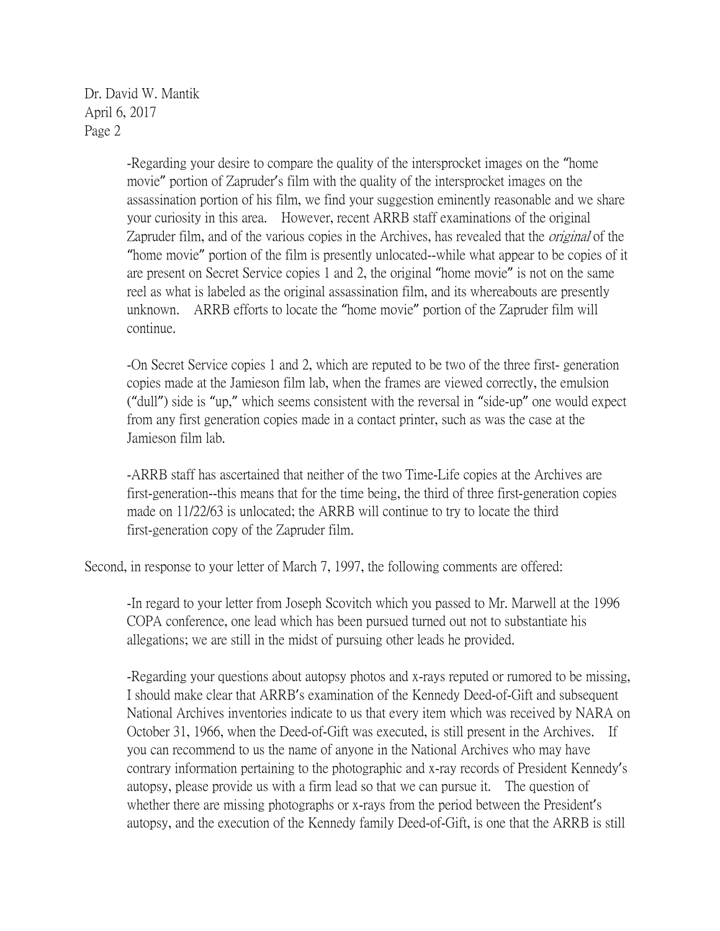Dr. David W. Mantik April 6, 2017 Page 2

> -Regarding your desire to compare the quality of the intersprocket images on the "home movie" portion of Zapruder's film with the quality of the intersprocket images on the assassination portion of his film, we find your suggestion eminently reasonable and we share your curiosity in this area. However, recent ARRB staff examinations of the original Zapruder film, and of the various copies in the Archives, has revealed that the *original* of the "home movie" portion of the film is presently unlocated--while what appear to be copies of it are present on Secret Service copies 1 and 2, the original "home movie" is not on the same reel as what is labeled as the original assassination film, and its whereabouts are presently unknown. ARRB efforts to locate the "home movie" portion of the Zapruder film will continue.

> -On Secret Service copies 1 and 2, which are reputed to be two of the three first- generation copies made at the Jamieson film lab, when the frames are viewed correctly, the emulsion ("dull") side is "up," which seems consistent with the reversal in "side-up" one would expect from any first generation copies made in a contact printer, such as was the case at the Jamieson film lab.

-ARRB staff has ascertained that neither of the two Time-Life copies at the Archives are first-generation--this means that for the time being, the third of three first-generation copies made on 11/22/63 is unlocated; the ARRB will continue to try to locate the third first-generation copy of the Zapruder film.

Second, in response to your letter of March 7, 1997, the following comments are offered:

-In regard to your letter from Joseph Scovitch which you passed to Mr. Marwell at the 1996 COPA conference, one lead which has been pursued turned out not to substantiate his allegations; we are still in the midst of pursuing other leads he provided.

-Regarding your questions about autopsy photos and x-rays reputed or rumored to be missing, I should make clear that ARRB's examination of the Kennedy Deed-of-Gift and subsequent National Archives inventories indicate to us that every item which was received by NARA on October 31, 1966, when the Deed-of-Gift was executed, is still present in the Archives. If you can recommend to us the name of anyone in the National Archives who may have contrary information pertaining to the photographic and x-ray records of President Kennedy's autopsy, please provide us with a firm lead so that we can pursue it. The question of whether there are missing photographs or x-rays from the period between the President's autopsy, and the execution of the Kennedy family Deed-of-Gift, is one that the ARRB is still